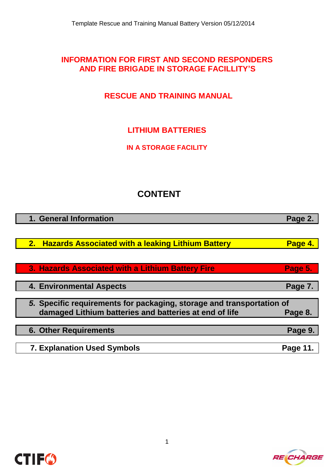# **INFORMATION FOR FIRST AND SECOND RESPONDERS AND FIRE BRIGADE IN STORAGE FACILLITY'S**

# **RESCUE AND TRAINING MANUAL**

# **LITHIUM BATTERIES**

**IN A STORAGE FACILITY**

# **CONTENT**

| 1. General Information                                                | Page 2.  |
|-----------------------------------------------------------------------|----------|
|                                                                       |          |
| <b>Hazards Associated with a leaking Lithium Battery</b><br>2.        | Page 4.  |
|                                                                       |          |
| 3. Hazards Associated with a Lithium Battery Fire                     | Page 5.  |
|                                                                       |          |
| <b>4. Environmental Aspects</b>                                       | Page 7.  |
|                                                                       |          |
| 5. Specific requirements for packaging, storage and transportation of |          |
| damaged Lithium batteries and batteries at end of life                | Page 8.  |
|                                                                       |          |
| <b>6. Other Requirements</b>                                          | Page 9.  |
|                                                                       |          |
| <b>7. Explanation Used Symbols</b>                                    | Page 11. |

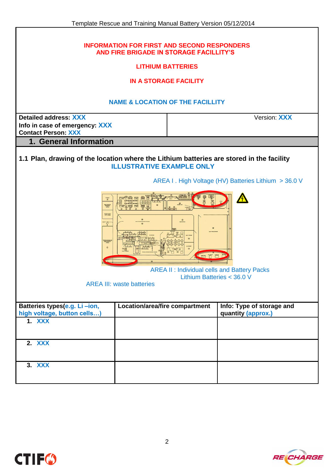| <b>INFORMATION FOR FIRST AND SECOND RESPONDERS</b><br>AND FIRE BRIGADE IN STORAGE FACILLITY'S<br><b>LITHIUM BATTERIES</b><br><b>IN A STORAGE FACILITY</b><br><b>NAME &amp; LOCATION OF THE FACILLITY</b> |                                                                                                             |                                                        |                                                      |
|----------------------------------------------------------------------------------------------------------------------------------------------------------------------------------------------------------|-------------------------------------------------------------------------------------------------------------|--------------------------------------------------------|------------------------------------------------------|
| Detailed address: XXX<br>Info in case of emergency: XXX<br><b>Contact Person: XXX</b>                                                                                                                    | Version: <b>XXX</b>                                                                                         |                                                        |                                                      |
| 1. General Information                                                                                                                                                                                   |                                                                                                             |                                                        |                                                      |
| 1.1 Plan, drawing of the location where the Lithium batteries are stored in the facility                                                                                                                 | <b>ILLUSTRATIVE EXAMPLE ONLY</b>                                                                            |                                                        |                                                      |
|                                                                                                                                                                                                          |                                                                                                             |                                                        | AREA I. High Voltage (HV) Batteries Lithium > 36.0 V |
| TOILET<br>AACHININ<br>REWORK<br>MACHINING<br>CHIP AREA<br>$\begin{bmatrix} 1 & 0 \\ 0 & 1 \end{bmatrix}$<br><b>RANSFORMER</b><br>ELECTRICILY                                                             | $\qquad \qquad \qquad \qquad \qquad \qquad \qquad \qquad \qquad \qquad$<br><b>AREA III: waste batteries</b> | <b>E</b><br><b>SETEP</b><br>Lithium Batteries < 36.0 V | <b>AREA II: Individual cells and Battery Packs</b>   |
| Batteries types(e.g. Li-ion,<br>high voltage, button cells)                                                                                                                                              | Location/area/fire compartment                                                                              |                                                        | Info: Type of storage and<br>quantity (approx.)      |
| <b>1. XXX</b>                                                                                                                                                                                            |                                                                                                             |                                                        |                                                      |
| 2. XXX                                                                                                                                                                                                   |                                                                                                             |                                                        |                                                      |
| 3. XXX                                                                                                                                                                                                   |                                                                                                             |                                                        |                                                      |

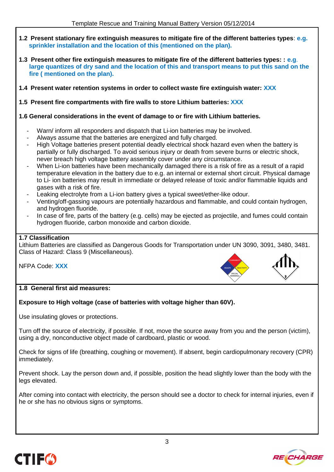- **1.2 Present stationary fire extinguish measures to mitigate fire of the different batteries types**: **e.g. sprinkler installation and the location of this (mentioned on the plan).**
- **1.3 Present other fire extinguish measures to mitigate fire of the different batteries types: : e.g**.  **large quantizes of dry sand and the location of this and transport means to put this sand on the fire ( mentioned on the plan).**
- **1.4 Present water retention systems in order to collect waste fire extinguish water: XXX**
- **1.5 Present fire compartments with fire walls to store Lithium batteries: XXX**

#### **1.6 General considerations in the event of damage to or fire with Lithium batteries.**

- Warn/ inform all responders and dispatch that Li-ion batteries may be involved.
- Always assume that the batteries are energized and fully charged.
- High Voltage batteries present potential deadly electrical shock hazard even when the battery is partially or fully discharged. To avoid serious injury or death from severe burns or electric shock, never breach high voltage battery assembly cover under any circumstance.
- When Li-ion batteries have been mechanically damaged there is a risk of fire as a result of a rapid temperature elevation in the battery due to e.g. an internal or external short circuit. Physical damage to Li- ion batteries may result in immediate or delayed release of toxic and/or flammable liquids and gases with a risk of fire.
- Leaking electrolyte from a Li-ion battery gives a typical sweet/ether-like odour.
- Venting/off-gassing vapours are potentially hazardous and flammable, and could contain hydrogen, and hydrogen fluoride.
- In case of fire, parts of the battery (e.g. cells) may be ejected as projectile, and fumes could contain hydrogen fluoride, carbon monoxide and carbon dioxide.

#### **1.7 Classification**

Lithium Batteries are classified as Dangerous Goods for Transportation under UN 3090, 3091, 3480, 3481. Class of Hazard: Class 9 (Miscellaneous).

NFPA Code: **XXX**



### **1.8 General first aid measures:**

#### **Exposure to High voltage (case of batteries with voltage higher than 60V).**

Use insulating gloves or protections.

Turn off the source of electricity, if possible. If not, move the source away from you and the person (victim), using a dry, nonconductive object made of cardboard, plastic or wood.

Check for signs of life (breathing, coughing or movement). If absent, begin cardiopulmonary recovery (CPR) immediately.

Prevent shock. Lay the person down and, if possible, position the head slightly lower than the body with the legs elevated.

After coming into contact with electricity, the person should see a doctor to check for internal injuries, even if he or she has no obvious signs or symptoms.

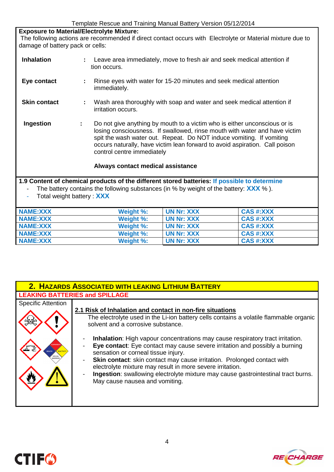**Exposure to Material/Electrolyte Mixture:**  The following actions are recommended if direct contact occurs with Electrolyte or Material mixture due to damage of battery pack or cells:

| <b>Inhalation</b>   | Leave area immediately, move to fresh air and seek medical attention if<br>tion occurs.                                                                                                                                                                                                                                                            |
|---------------------|----------------------------------------------------------------------------------------------------------------------------------------------------------------------------------------------------------------------------------------------------------------------------------------------------------------------------------------------------|
| Eye contact         | Rinse eyes with water for 15-20 minutes and seek medical attention<br>immediately.                                                                                                                                                                                                                                                                 |
| <b>Skin contact</b> | Wash area thoroughly with soap and water and seek medical attention if<br>÷.<br>irritation occurs.                                                                                                                                                                                                                                                 |
| Ingestion           | Do not give anything by mouth to a victim who is either unconscious or is<br>÷.<br>losing consciousness. If swallowed, rinse mouth with water and have victim<br>spit the wash water out. Repeat. Do NOT induce vomiting. If vomiting<br>occurs naturally, have victim lean forward to avoid aspiration. Call poison<br>control centre immediately |
|                     | Always contact medical assistance                                                                                                                                                                                                                                                                                                                  |
|                     | 1.9 Content of chemical products of the different stored batteries: If possible to determine                                                                                                                                                                                                                                                       |

**1.9 Content of chemical products of the different stored batteries: If possible to determine**  - The battery contains the following substances (in % by weight of the battery: **XXX** % ).

|  | Total weight battery : XXX |
|--|----------------------------|
|--|----------------------------|

| <b>NAME:XXX</b> | Weight %: | <b>UN Nr: XXX</b> | <b>CAS #:XXX</b> |
|-----------------|-----------|-------------------|------------------|
| <b>NAME:XXX</b> | Weight %: | UN Nr: XXX        | <b>CAS #:XXX</b> |
| <b>NAME:XXX</b> | Weight %: | UN Nr: XXX        | <b>CAS #:XXX</b> |
| <b>NAME:XXX</b> | Weight %: | UN Nr: XXX        | <b>CAS #:XXX</b> |
| NAME:XXX        | Weight %: | UN Nr: XXX        | <b>CAS #:XXX</b> |

|                                                                         | 2. HAZARDS ASSOCIATED WITH LEAKING LITHIUM BATTERY                                                                                                                                                                                                                                                                                                                                                                                                                                                                                                                                                                                                                      |
|-------------------------------------------------------------------------|-------------------------------------------------------------------------------------------------------------------------------------------------------------------------------------------------------------------------------------------------------------------------------------------------------------------------------------------------------------------------------------------------------------------------------------------------------------------------------------------------------------------------------------------------------------------------------------------------------------------------------------------------------------------------|
| <b>LEAKING BATTERIES and SPILLAGE</b>                                   |                                                                                                                                                                                                                                                                                                                                                                                                                                                                                                                                                                                                                                                                         |
| <b>Specific Attention</b><br><b>HEALTH</b><br>SPECIAL<br><b>WARNING</b> | 2.1 Risk of Inhalation and contact in non-fire situations<br>The electrolyte used in the Li-ion battery cells contains a volatile flammable organic<br>solvent and a corrosive substance.<br><b>Inhalation:</b> High vapour concentrations may cause respiratory tract irritation.<br>Eye contact: Eye contact may cause severe irritation and possibly a burning<br>sensation or corneal tissue injury.<br>Skin contact: skin contact may cause irritation. Prolonged contact with<br>electrolyte mixture may result in more severe irritation.<br>Ingestion: swallowing electrolyte mixture may cause gastrointestinal tract burns.<br>May cause nausea and vomiting. |

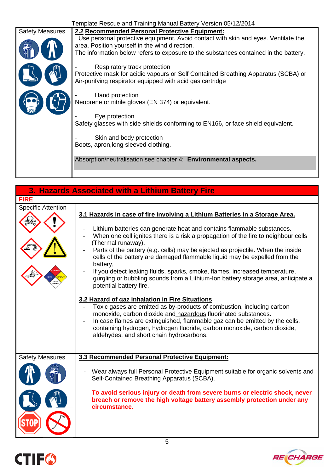| Template Rescue and Training Manual Battery Version 05/12/2014 |                                                                                                                                                                                                                              |  |  |  |
|----------------------------------------------------------------|------------------------------------------------------------------------------------------------------------------------------------------------------------------------------------------------------------------------------|--|--|--|
| <b>Safety Measures</b>                                         | 2.2 Recommended Personal Protective Equipment:                                                                                                                                                                               |  |  |  |
|                                                                | Use personal protective equipment. Avoid contact with skin and eyes. Ventilate the<br>area. Position yourself in the wind direction.<br>The information below refers to exposure to the substances contained in the battery. |  |  |  |
|                                                                | Respiratory track protection                                                                                                                                                                                                 |  |  |  |
|                                                                | Protective mask for acidic vapours or Self Contained Breathing Apparatus (SCBA) or<br>Air-purifying respirator equipped with acid gas cartridge                                                                              |  |  |  |
|                                                                | Hand protection                                                                                                                                                                                                              |  |  |  |
|                                                                | Neoprene or nitrile gloves (EN 374) or equivalent.                                                                                                                                                                           |  |  |  |
|                                                                | Eye protection                                                                                                                                                                                                               |  |  |  |
|                                                                | Safety glasses with side-shields conforming to EN166, or face shield equivalent.                                                                                                                                             |  |  |  |
|                                                                | Skin and body protection                                                                                                                                                                                                     |  |  |  |
|                                                                | Boots, apron, long sleeved clothing.                                                                                                                                                                                         |  |  |  |
|                                                                | Absorption/neutralisation see chapter 4: Environmental aspects.                                                                                                                                                              |  |  |  |
|                                                                |                                                                                                                                                                                                                              |  |  |  |

| 3. Hazards Associated with a Lithium Battery Fire |                                                                                                                                                                                                                                                                                                                                                                                                                                                                                                                                                                                                                                                |  |
|---------------------------------------------------|------------------------------------------------------------------------------------------------------------------------------------------------------------------------------------------------------------------------------------------------------------------------------------------------------------------------------------------------------------------------------------------------------------------------------------------------------------------------------------------------------------------------------------------------------------------------------------------------------------------------------------------------|--|
| <b>FIRE</b>                                       |                                                                                                                                                                                                                                                                                                                                                                                                                                                                                                                                                                                                                                                |  |
| <b>Specific Attention</b>                         | 3.1 Hazards in case of fire involving a Lithium Batteries in a Storage Area.<br>Lithium batteries can generate heat and contains flammable substances.<br>When one cell ignites there is a risk a propagation of the fire to neighbour cells<br>(Thermal runaway).<br>Parts of the battery (e.g. cells) may be ejected as projectile. When the inside<br>cells of the battery are damaged flammable liquid may be expelled from the<br>battery,<br>If you detect leaking fluids, sparks, smoke, flames, increased temperature,<br>gurgling or bubbling sounds from a Lithium-Ion battery storage area, anticipate a<br>potential battery fire. |  |
|                                                   | 3.2 Hazard of gaz inhalation in Fire Situations<br>Toxic gases are emitted as by-products of combustion, including carbon<br>monoxide, carbon dioxide and hazardous fluorinated substances.<br>In case flames are extinguished, flammable gaz can be emitted by the cells,<br>containing hydrogen, hydrogen fluoride, carbon monoxide, carbon dioxide,<br>aldehydes, and short chain hydrocarbons.                                                                                                                                                                                                                                             |  |
| <b>Safety Measures</b>                            | 3.3 Recommended Personal Protective Equipment:                                                                                                                                                                                                                                                                                                                                                                                                                                                                                                                                                                                                 |  |
|                                                   | Wear always full Personal Protective Equipment suitable for organic solvents and<br>Self-Contained Breathing Apparatus (SCBA).                                                                                                                                                                                                                                                                                                                                                                                                                                                                                                                 |  |
|                                                   | To avoid serious injury or death from severe burns or electric shock, never<br>breach or remove the high voltage battery assembly protection under any<br>circumstance.                                                                                                                                                                                                                                                                                                                                                                                                                                                                        |  |



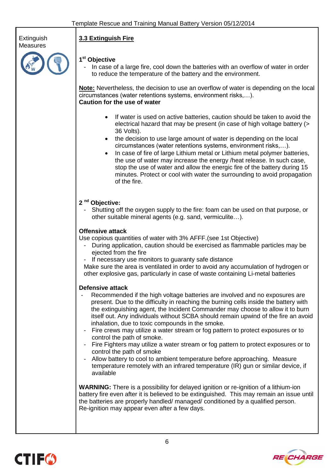

# **1 st Objective**

**3.3 Extinguish Fire**

In case of a large fire, cool down the batteries with an overflow of water in order to reduce the temperature of the battery and the environment.

**Note:** Nevertheless, the decision to use an overflow of water is depending on the local circumstances (water retentions systems, environment risks,…). **Caution for the use of water**

- If water is used on active batteries, caution should be taken to avoid the electrical hazard that may be present (in case of high voltage battery (> 36 Volts).
- the decision to use large amount of water is depending on the local circumstances (water retentions systems, environment risks,…).
- In case of fire of large Lithium metal or Lithium metal polymer batteries, the use of water may increase the energy /heat release. In such case, stop the use of water and allow the energic fire of the battery during 15 minutes. Protect or cool with water the surrounding to avoid propagation of the fire.

#### **2 nd Objective:**

Shutting off the oxygen supply to the fire: foam can be used on that purpose, or other suitable mineral agents (e.g. sand, vermiculite…).

#### **Offensive attack**

Use copious quantities of water with 3% AFFF.(see 1st Objective)

- During application, caution should be exercised as flammable particles may be ejected from the fire
- If necessary use monitors to quaranty safe distance

Make sure the area is ventilated in order to avoid any accumulation of hydrogen or other explosive gas, particularly in case of waste containing Li-metal batteries

#### **Defensive attack**

- Recommended if the high voltage batteries are involved and no exposures are present. Due to the difficulty in reaching the burning cells inside the battery with the extinguishing agent, the Incident Commander may choose to allow it to burn itself out. Any individuals without SCBA should remain upwind of the fire an avoid inhalation, due to toxic compounds in the smoke.
- Fire crews may utilize a water stream or fog pattern to protect exposures or to control the path of smoke.
- Fire Fighters may utilize a water stream or fog pattern to protect exposures or to control the path of smoke
- Allow battery to cool to ambient temperature before approaching. Measure temperature remotely with an infrared temperature (IR) gun or similar device, if available

**WARNING:** There is a possibility for delayed ignition or re-ignition of a lithium-ion battery fire even after it is believed to be extinguished. This may remain an issue until the batteries are properly handled/ managed/ conditioned by a qualified person. Re-ignition may appear even after a few days.



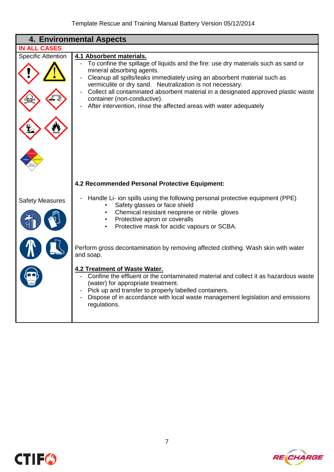| <b>4. Environmental Aspects</b> |                                                                                                                                                                                                                                                                                                                                                                                                                                                                                 |  |
|---------------------------------|---------------------------------------------------------------------------------------------------------------------------------------------------------------------------------------------------------------------------------------------------------------------------------------------------------------------------------------------------------------------------------------------------------------------------------------------------------------------------------|--|
| <b>IN ALL CASES</b>             |                                                                                                                                                                                                                                                                                                                                                                                                                                                                                 |  |
| <b>Specific Attention</b>       | 4.1 Absorbent materials.<br>To confine the spillage of liquids and the fire: use dry materials such as sand or<br>mineral absorbing agents.<br>Cleanup all spills/leaks immediately using an absorbent material such as<br>vermiculite or dry sand. Neutralization is not necessary.<br>Collect all contaminated absorbent material in a designated approved plastic waste<br>container (non-conductive).<br>After intervention, rinse the affected areas with water adequately |  |
|                                 | 4.2 Recommended Personal Protective Equipment:                                                                                                                                                                                                                                                                                                                                                                                                                                  |  |
| <b>Safety Measures</b>          | Handle Li- ion spills using the following personal protective equipment (PPE)<br>Safety glasses or face shield<br>Chemical resistant neoprene or nitrile gloves<br>Protective apron or coveralls<br>Protective mask for acidic vapours or SCBA.                                                                                                                                                                                                                                 |  |
|                                 | Perform gross decontamination by removing affected clothing. Wash skin with water<br>and soap.                                                                                                                                                                                                                                                                                                                                                                                  |  |
|                                 | <b>4.2 Treatment of Waste Water.</b><br>Confine the effluent or the contaminated material and collect it as hazardous waste<br>(water) for appropriate treatment.<br>Pick up and transfer to properly labelled containers.<br>Dispose of in accordance with local waste management legislation and emissions<br>regulations.                                                                                                                                                    |  |



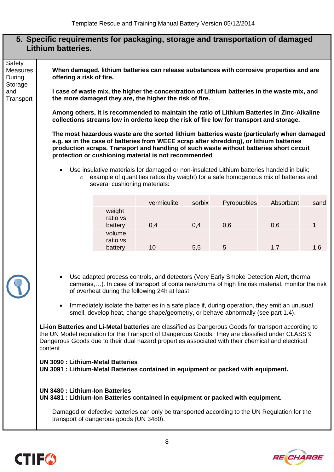## **5. Specific requirements for packaging, storage and transportation of damaged Lithium batteries.**

Safety **Measures** During Storage and **Transport** 

**When damaged, lithium batteries can release substances with corrosive properties and are offering a risk of fire.**

**I case of waste mix, the higher the concentration of Lithium batteries in the waste mix, and the more damaged they are, the higher the risk of fire.** 

**Among others, it is recommended to maintain the ratio of Lithium Batteries in Zinc-Alkaline collections streams low in orderto keep the risk of fire low for transport and storage.** 

**The most hazardous waste are the sorted lithium batteries waste (particularly when damaged e.g. as in the case of batteries from WEEE scrap after shredding), or lithium batteries production scraps. Transport and handling of such waste without batteries short circuit protection or cushioning material is not recommended**

- Use insulative materials for damaged or non-insulated Lithium batteries handeld in bulk:
	- o example of quantities ratios (by weight) for a safe homogenous mix of batteries and several cushioning materials:

|                               | vermiculite | sorbix | Pyrobubbles | Absorbant | sand |
|-------------------------------|-------------|--------|-------------|-----------|------|
| weight<br>ratio vs<br>battery | 0,4         | 0,4    | 0,6         | 0,6       |      |
| volume<br>ratio vs<br>battery | 10          | 5,5    | 5           | 1.7       | 1,6  |

- Use adapted process controls, and detectors (Very Early Smoke Detection Alert, thermal cameras,…). In case of transport of containers/drums of high fire risk material, monitor the risk of overheat during the following 24h at least.
- Immediately isolate the batteries in a safe place if, during operation, they emit an unusual smell, develop heat, change shape/geometry, or behave abnormally (see part 1.4).

**Li-ion Batteries and Li-Metal batteries** are classified as Dangerous Goods for transport according to the UN Model regulation for the Transport of Dangerous Goods. They are classified under CLASS 9 Dangerous Goods due to their dual hazard properties associated with their chemical and electrical content

**UN 3090 : Lithium-Metal Batteries UN 3091 : Lithium-Metal Batteries contained in equipment or packed with equipment.**

**UN 3480 : Lithium-Ion Batteries UN 3481 : Lithium-Ion Batteries contained in equipment or packed with equipment.**

Damaged or defective batteries can only be transported according to the UN Regulation for the transport of dangerous goods (UN 3480).



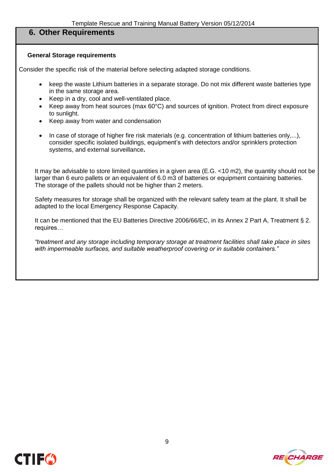#### **6. Other Requirements**

#### **General Storage requirements**

Consider the specific risk of the material before selecting adapted storage conditions.

- keep the waste Lithium batteries in a separate storage. Do not mix different waste batteries type in the same storage area.
- Keep in a dry, cool and well-ventilated place.
- Keep away from heat sources (max 60°C) and sources of ignition. Protect from direct exposure to sunlight.
- Keep away from water and condensation
- In case of storage of higher fire risk materials (e.g. concentration of lithium batteries only,...), consider specific isolated buildings, equipment's with detectors and/or sprinklers protection systems, and external surveillance**.**

It may be advisable to store limited quantities in a given area (E.G. <10 m2), the quantity should not be larger than 6 euro pallets or an equivalent of 6.0 m3 of batteries or equipment containing batteries. The storage of the pallets should not be higher than 2 meters.

Safety measures for storage shall be organized with the relevant safety team at the plant. It shall be adapted to the local Emergency Response Capacity.

It can be mentioned that the EU Batteries Directive 2006/66/EC, in its Annex 2 Part A, Treatment § 2. requires…

*"treatment and any storage including temporary storage at treatment facilities shall take place in sites with impermeable surfaces, and suitable weatherproof covering or in suitable containers."*



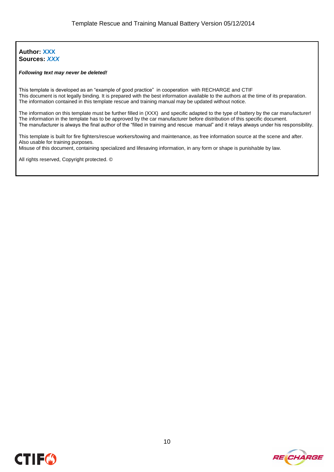#### **Author: XXX Sources:** *XXX*

#### *Following text may never be deleted!*

This template is developed as an "example of good practice" in cooperation with RECHARGE and CTIF This document is not legally binding. It is prepared with the best information available to the authors at the time of its preparation. The information contained in this template rescue and training manual may be updated without notice.

The information on this template must be further filled in (XXX) and specific adapted to the type of battery by the car manufacturer! The information in the template has to be approved by the car manufacturer before distribution of this specific document. The manufacturer is always the final author of the "filled in training and rescue manual" and it relays always under his responsibility.

This template is built for fire fighters/rescue workers/towing and maintenance, as free information source at the scene and after. Also usable for training purposes.

Misuse of this document, containing specialized and lifesaving information, in any form or shape is punishable by law.

All rights reserved, Copyright protected. ©

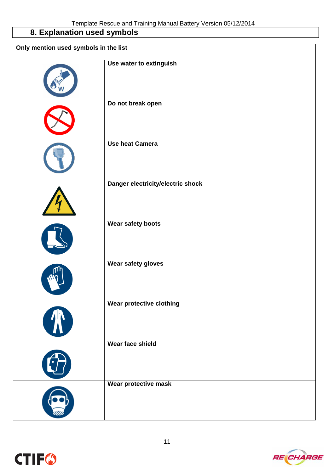# **8. Explanation used symbols**

| Only mention used symbols in the list |                                   |  |
|---------------------------------------|-----------------------------------|--|
|                                       | Use water to extinguish           |  |
|                                       | Do not break open                 |  |
|                                       | <b>Use heat Camera</b>            |  |
|                                       | Danger electricity/electric shock |  |
|                                       | Wear safety boots                 |  |
|                                       | Wear safety gloves                |  |
| A                                     | <b>Wear protective clothing</b>   |  |
| Q                                     | Wear face shield                  |  |
|                                       | Wear protective mask              |  |

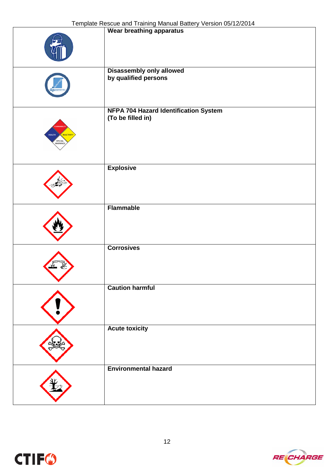|                                        | Wear breathing apparatus                                          |
|----------------------------------------|-------------------------------------------------------------------|
|                                        | <b>Disassembly only allowed</b><br>by qualified persons           |
| <b>HEALTH</b><br>REACTIVITY<br>SPECIAL | <b>NFPA 704 Hazard Identification System</b><br>(To be filled in) |
|                                        | <b>Explosive</b>                                                  |
|                                        | <b>Flammable</b>                                                  |
|                                        | <b>Corrosives</b>                                                 |
|                                        | <b>Caution harmful</b>                                            |
|                                        | <b>Acute toxicity</b>                                             |
|                                        | <b>Environmental hazard</b>                                       |